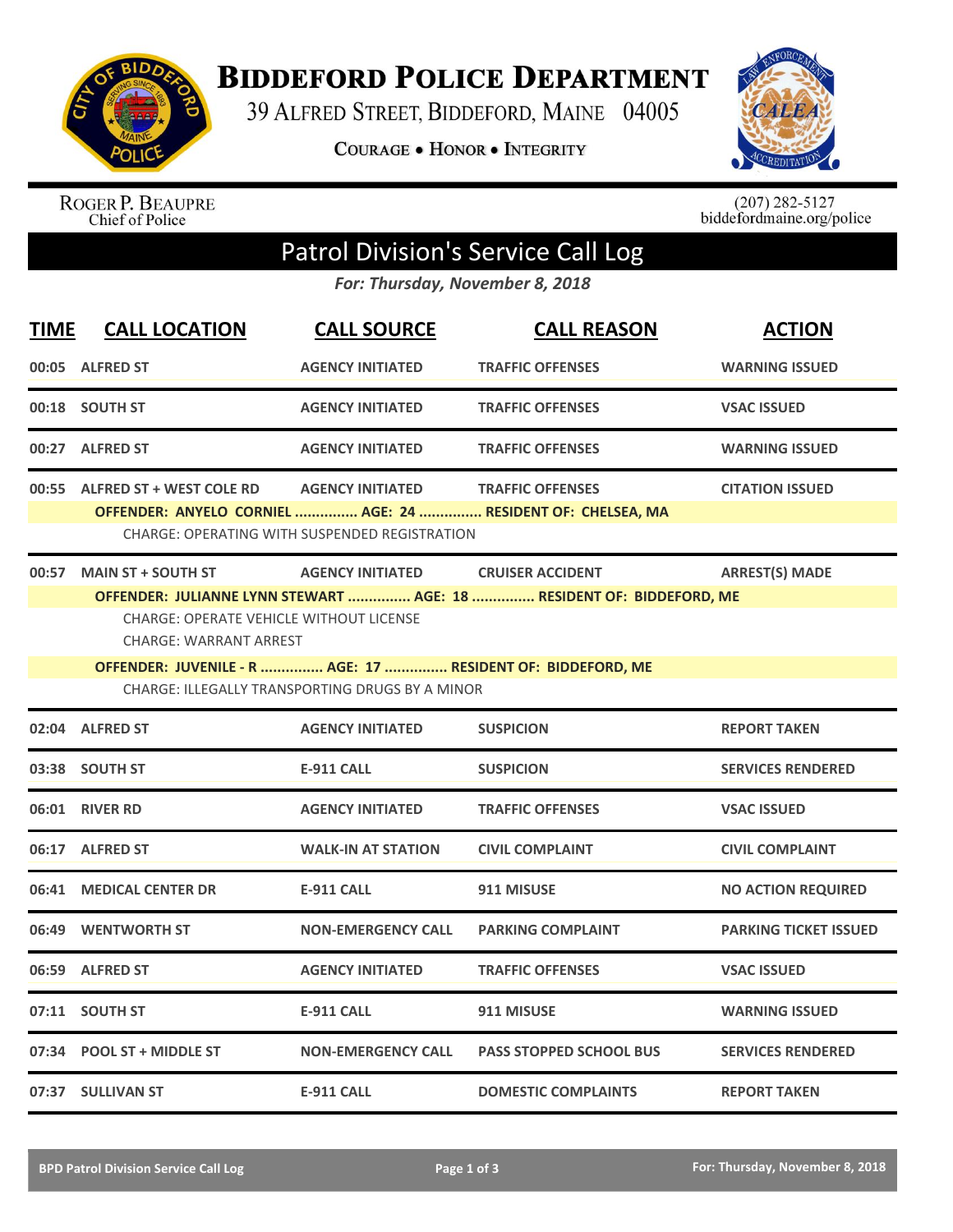

**BIDDEFORD POLICE DEPARTMENT** 

39 ALFRED STREET, BIDDEFORD, MAINE 04005

**COURAGE . HONOR . INTEGRITY** 



ROGER P. BEAUPRE<br>Chief of Police

 $(207)$  282-5127<br>biddefordmaine.org/police

## Patrol Division's Service Call Log

*For: Thursday, November 8, 2018*

| <b>TIME</b> | <b>CALL LOCATION</b>                                                                                        | <b>CALL SOURCE</b>                                                              | <b>CALL REASON</b>                                                                              | <b>ACTION</b>                |
|-------------|-------------------------------------------------------------------------------------------------------------|---------------------------------------------------------------------------------|-------------------------------------------------------------------------------------------------|------------------------------|
|             | 00:05 ALFRED ST                                                                                             | <b>AGENCY INITIATED</b>                                                         | <b>TRAFFIC OFFENSES</b>                                                                         | <b>WARNING ISSUED</b>        |
|             | 00:18 SOUTH ST                                                                                              | <b>AGENCY INITIATED</b>                                                         | <b>TRAFFIC OFFENSES</b>                                                                         | <b>VSAC ISSUED</b>           |
|             | 00:27 ALFRED ST                                                                                             | <b>AGENCY INITIATED</b>                                                         | <b>TRAFFIC OFFENSES</b>                                                                         | <b>WARNING ISSUED</b>        |
| 00:55       | <b>ALFRED ST + WEST COLE RD</b>                                                                             | <b>AGENCY INITIATED</b><br><b>CHARGE: OPERATING WITH SUSPENDED REGISTRATION</b> | <b>TRAFFIC OFFENSES</b><br>OFFENDER: ANYELO CORNIEL  AGE: 24  RESIDENT OF: CHELSEA, MA          | <b>CITATION ISSUED</b>       |
|             | 00:57 MAIN ST + SOUTH ST<br><b>CHARGE: OPERATE VEHICLE WITHOUT LICENSE</b><br><b>CHARGE: WARRANT ARREST</b> | <b>AGENCY INITIATED</b>                                                         | <b>CRUISER ACCIDENT</b><br>OFFENDER: JULIANNE LYNN STEWART  AGE: 18  RESIDENT OF: BIDDEFORD, ME | <b>ARREST(S) MADE</b>        |
|             | OFFENDER: JUVENILE - R  AGE: 17  RESIDENT OF: BIDDEFORD, ME                                                 | <b>CHARGE: ILLEGALLY TRANSPORTING DRUGS BY A MINOR</b>                          |                                                                                                 |                              |
|             | 02:04 ALFRED ST                                                                                             | <b>AGENCY INITIATED</b>                                                         | <b>SUSPICION</b>                                                                                | <b>REPORT TAKEN</b>          |
|             | 03:38 SOUTH ST                                                                                              | <b>E-911 CALL</b>                                                               | <b>SUSPICION</b>                                                                                | <b>SERVICES RENDERED</b>     |
|             | 06:01 RIVER RD                                                                                              | <b>AGENCY INITIATED</b>                                                         | <b>TRAFFIC OFFENSES</b>                                                                         | <b>VSAC ISSUED</b>           |
|             | 06:17 ALFRED ST                                                                                             | <b>WALK-IN AT STATION</b>                                                       | <b>CIVIL COMPLAINT</b>                                                                          | <b>CIVIL COMPLAINT</b>       |
| 06:41       | <b>MEDICAL CENTER DR</b>                                                                                    | <b>E-911 CALL</b>                                                               | 911 MISUSE                                                                                      | <b>NO ACTION REQUIRED</b>    |
| 06:49       | <b>WENTWORTH ST</b>                                                                                         | <b>NON-EMERGENCY CALL</b>                                                       | <b>PARKING COMPLAINT</b>                                                                        | <b>PARKING TICKET ISSUED</b> |
|             | 06:59 ALFRED ST                                                                                             | <b>AGENCY INITIATED</b>                                                         | <b>TRAFFIC OFFENSES</b>                                                                         | <b>VSAC ISSUED</b>           |
|             | 07:11 SOUTH ST                                                                                              | <b>E-911 CALL</b>                                                               | 911 MISUSE                                                                                      | <b>WARNING ISSUED</b>        |
|             | 07:34 POOL ST + MIDDLE ST                                                                                   | <b>NON-EMERGENCY CALL</b>                                                       | <b>PASS STOPPED SCHOOL BUS</b>                                                                  | <b>SERVICES RENDERED</b>     |
|             | 07:37 SULLIVAN ST                                                                                           | <b>E-911 CALL</b>                                                               | <b>DOMESTIC COMPLAINTS</b>                                                                      | <b>REPORT TAKEN</b>          |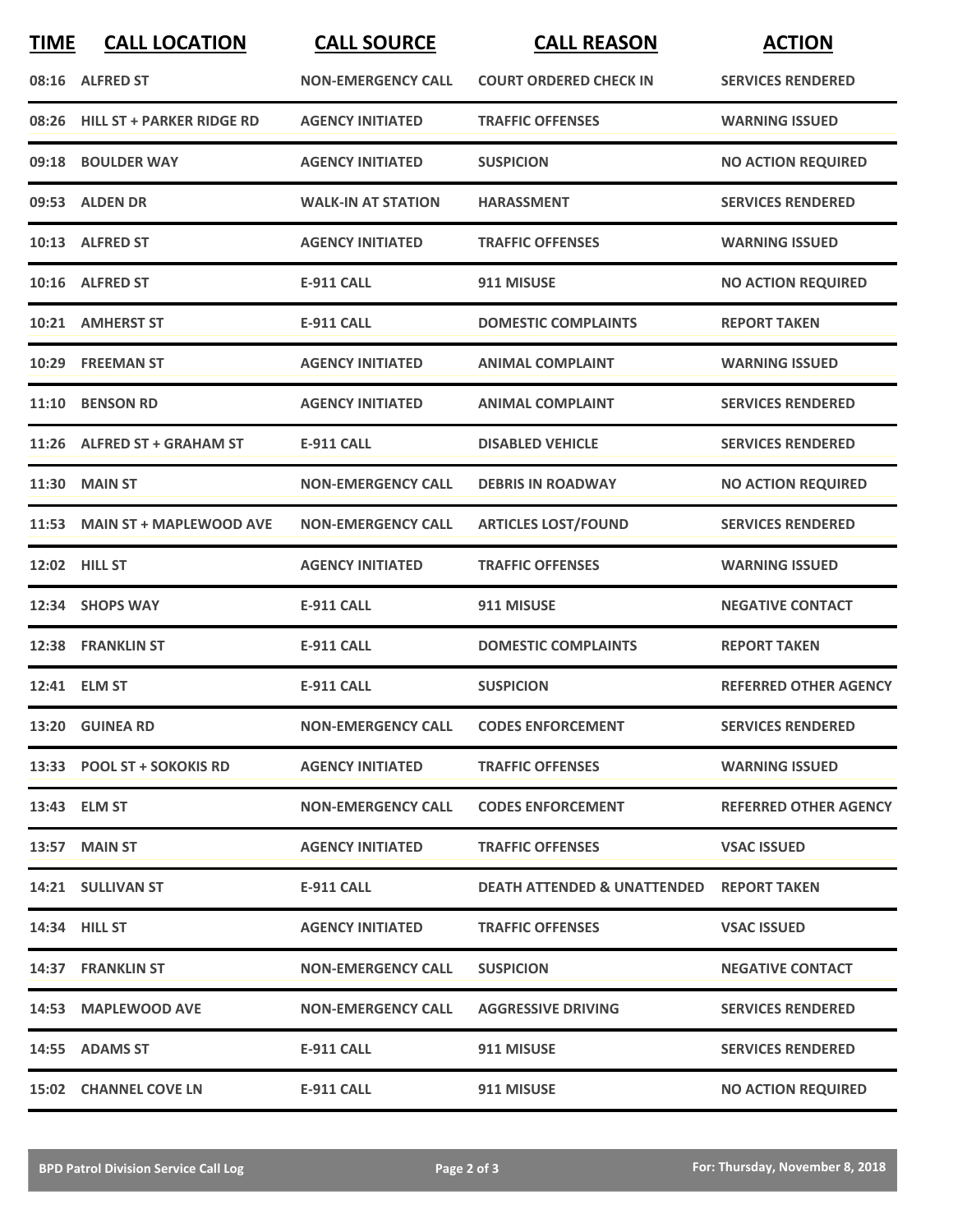| <b>TIME</b> | <b>CALL LOCATION</b>            | <b>CALL SOURCE</b>        | <b>CALL REASON</b>                                  | <b>ACTION</b>                |
|-------------|---------------------------------|---------------------------|-----------------------------------------------------|------------------------------|
|             | 08:16 ALFRED ST                 | <b>NON-EMERGENCY CALL</b> | <b>COURT ORDERED CHECK IN</b>                       | <b>SERVICES RENDERED</b>     |
|             | 08:26 HILL ST + PARKER RIDGE RD | <b>AGENCY INITIATED</b>   | <b>TRAFFIC OFFENSES</b>                             | <b>WARNING ISSUED</b>        |
|             | 09:18 BOULDER WAY               | <b>AGENCY INITIATED</b>   | <b>SUSPICION</b>                                    | <b>NO ACTION REQUIRED</b>    |
|             | 09:53 ALDEN DR                  | <b>WALK-IN AT STATION</b> | <b>HARASSMENT</b>                                   | <b>SERVICES RENDERED</b>     |
|             | 10:13 ALFRED ST                 | <b>AGENCY INITIATED</b>   | <b>TRAFFIC OFFENSES</b>                             | <b>WARNING ISSUED</b>        |
|             | 10:16 ALFRED ST                 | <b>E-911 CALL</b>         | 911 MISUSE                                          | <b>NO ACTION REQUIRED</b>    |
|             | 10:21 AMHERST ST                | <b>E-911 CALL</b>         | <b>DOMESTIC COMPLAINTS</b>                          | <b>REPORT TAKEN</b>          |
|             | 10:29 FREEMAN ST                | <b>AGENCY INITIATED</b>   | <b>ANIMAL COMPLAINT</b>                             | <b>WARNING ISSUED</b>        |
| 11:10       | <b>BENSON RD</b>                | <b>AGENCY INITIATED</b>   | <b>ANIMAL COMPLAINT</b>                             | <b>SERVICES RENDERED</b>     |
|             | 11:26 ALFRED ST + GRAHAM ST     | <b>E-911 CALL</b>         | <b>DISABLED VEHICLE</b>                             | <b>SERVICES RENDERED</b>     |
|             | <b>11:30 MAIN ST</b>            | <b>NON-EMERGENCY CALL</b> | <b>DEBRIS IN ROADWAY</b>                            | <b>NO ACTION REQUIRED</b>    |
|             | 11:53 MAIN ST + MAPLEWOOD AVE   | <b>NON-EMERGENCY CALL</b> | <b>ARTICLES LOST/FOUND</b>                          | <b>SERVICES RENDERED</b>     |
|             | 12:02 HILL ST                   | <b>AGENCY INITIATED</b>   | <b>TRAFFIC OFFENSES</b>                             | <b>WARNING ISSUED</b>        |
|             | 12:34 SHOPS WAY                 | <b>E-911 CALL</b>         | 911 MISUSE                                          | <b>NEGATIVE CONTACT</b>      |
|             | 12:38 FRANKLIN ST               | <b>E-911 CALL</b>         | <b>DOMESTIC COMPLAINTS</b>                          | <b>REPORT TAKEN</b>          |
|             | 12:41 ELM ST                    | <b>E-911 CALL</b>         | <b>SUSPICION</b>                                    | <b>REFERRED OTHER AGENCY</b> |
|             | 13:20 GUINEA RD                 | <b>NON-EMERGENCY CALL</b> | <b>CODES ENFORCEMENT</b>                            | <b>SERVICES RENDERED</b>     |
|             | 13:33 POOL ST + SOKOKIS RD      | <b>AGENCY INITIATED</b>   | <b>TRAFFIC OFFENSES</b>                             | <b>WARNING ISSUED</b>        |
|             | 13:43 ELM ST                    | <b>NON-EMERGENCY CALL</b> | <b>CODES ENFORCEMENT</b>                            | <b>REFERRED OTHER AGENCY</b> |
|             | 13:57 MAIN ST                   | <b>AGENCY INITIATED</b>   | <b>TRAFFIC OFFENSES</b>                             | <b>VSAC ISSUED</b>           |
|             | 14:21 SULLIVAN ST               | E-911 CALL                | <b>DEATH ATTENDED &amp; UNATTENDED REPORT TAKEN</b> |                              |
|             | <b>14:34 HILL ST</b>            | <b>AGENCY INITIATED</b>   | <b>TRAFFIC OFFENSES</b>                             | <b>VSAC ISSUED</b>           |
|             | 14:37 FRANKLIN ST               | <b>NON-EMERGENCY CALL</b> | <b>SUSPICION</b>                                    | <b>NEGATIVE CONTACT</b>      |
|             | 14:53 MAPLEWOOD AVE             | <b>NON-EMERGENCY CALL</b> | <b>AGGRESSIVE DRIVING</b>                           | <b>SERVICES RENDERED</b>     |
|             | 14:55 ADAMS ST                  | E-911 CALL                | 911 MISUSE                                          | <b>SERVICES RENDERED</b>     |
|             | <b>15:02 CHANNEL COVE LN</b>    | <b>E-911 CALL</b>         | 911 MISUSE                                          | <b>NO ACTION REQUIRED</b>    |